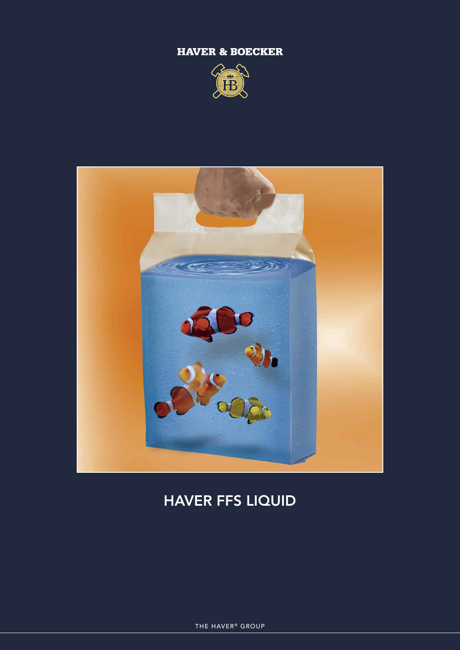## **HAVER & BOECKER**





## **HAVER FFS LIQUID**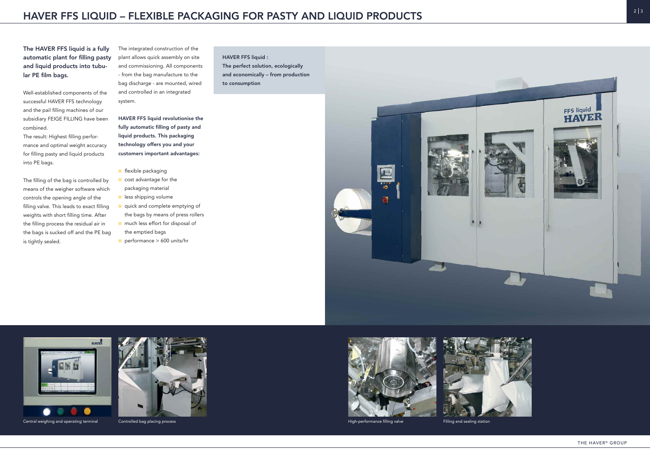**The HAVER FFS liquid is a fully automatic plant for filling pasty and liquid products into tubular PE film bags.**

Well-established components of the successful HAVER FFS technology and the pail filling machines of our subsidiary FEIGE FILLING have been combined.

The result: Highest filling performance and optimal weight accuracy for filling pasty and liquid products into PE bags.

The filling of the bag is controlled by means of the weigher software which controls the opening angle of the filling valve. This leads to exact filling weights with short filling time. After the filling process the residual air in the bags is sucked off and the PE bag is tightly sealed.

The integrated construction of the plant allows quick assembly on site and commissioning. All components - from the bag manufacture to the bag discharge - are mounted, wired and controlled in an integrated system.

**HAVER FFS liquid revolutionise the fully automatic filling of pasty and liquid products. This packaging technology offers you and your customers important advantages:**

- n flexible packaging
- cost advantage for the packaging material
- **n** less shipping volume
- quick and complete emptying of the bags by means of press rollers
- n much less effort for disposal of the emptied bags
- $\blacksquare$  performance > 600 units/hr

**HAVER FFS liquid : The perfect solution, ecologically and economically – from production to consumption**





Central weighing and operating terminal Controlled bag placing process **Alternation** Controlled bag placing process **High-performance filling valve** Filling valve Filling and sealing station









THE HAVER<sup>®</sup> GROUP